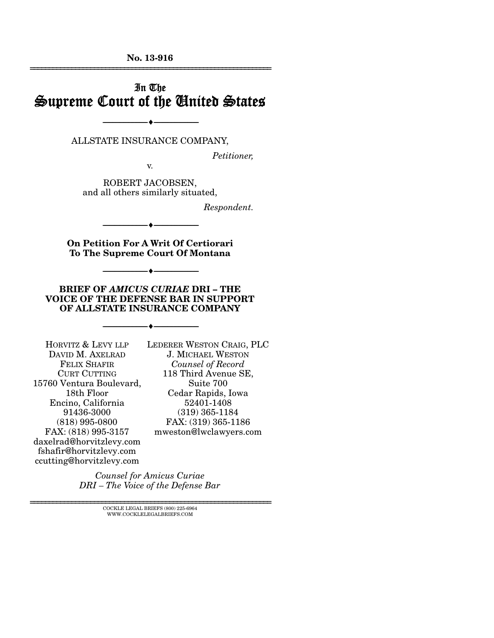**No. 13-916**  ================================================================

# In The Supreme Court of the United States

ALLSTATE INSURANCE COMPANY,

--------------------------------- ---------------------------------

*Petitioner,* 

v.

ROBERT JACOBSEN, and all others similarly situated,

*Respondent.* 

**On Petition For A Writ Of Certiorari To The Supreme Court Of Montana** 

--------------------------------- ---------------------------------

--------------------------------- ---------------------------------

**BRIEF OF** *AMICUS CURIAE* **DRI – THE VOICE OF THE DEFENSE BAR IN SUPPORT OF ALLSTATE INSURANCE COMPANY** 

--------------------------------- ---------------------------------

HORVITZ & LEVY LLP DAVID M. AXELRAD FELIX SHAFIR CURT CUTTING 15760 Ventura Boulevard, 18th Floor Encino, California 91436-3000 (818) 995-0800 FAX: (818) 995-3157 daxelrad@horvitzlevy.com fshafir@horvitzlevy.com ccutting@horvitzlevy.com

LEDERER WESTON CRAIG, PLC J. MICHAEL WESTON *Counsel of Record* 118 Third Avenue SE, Suite 700 Cedar Rapids, Iowa 52401-1408 (319) 365-1184 FAX: (319) 365-1186 mweston@lwclawyers.com

*Counsel for Amicus Curiae DRI – The Voice of the Defense Bar*

> $\textsc{COCKLE}$  LEGAL BRIEFS (800) 225-6964 WWW.COCKLELEGALBRIEFS.COM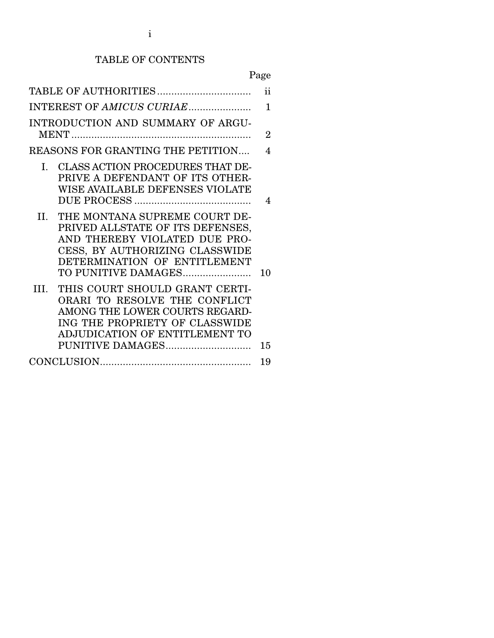### TABLE OF CONTENTS

|                                                                                                                                                                                                   | ii             |
|---------------------------------------------------------------------------------------------------------------------------------------------------------------------------------------------------|----------------|
| INTEREST OF AMICUS CURIAE                                                                                                                                                                         | 1              |
| INTRODUCTION AND SUMMARY OF ARGU-                                                                                                                                                                 | $\overline{2}$ |
| REASONS FOR GRANTING THE PETITION                                                                                                                                                                 | 4              |
| CLASS ACTION PROCEDURES THAT DE-<br>I.<br>PRIVE A DEFENDANT OF ITS OTHER-<br>WISE AVAILABLE DEFENSES VIOLATE                                                                                      | 4              |
| THE MONTANA SUPREME COURT DE-<br>П.<br>PRIVED ALLSTATE OF ITS DEFENSES,<br>AND THEREBY VIOLATED DUE PRO-<br>CESS, BY AUTHORIZING CLASSWIDE<br>DETERMINATION OF ENTITLEMENT<br>TO PUNITIVE DAMAGES | 10             |
| III.<br>THIS COURT SHOULD GRANT CERTI-<br>ORARI TO RESOLVE THE CONFLICT<br>AMONG THE LOWER COURTS REGARD-<br>ING THE PROPRIETY OF CLASSWIDE<br>ADJUDICATION OF ENTITLEMENT TO<br>PUNITIVE DAMAGES | 15             |
|                                                                                                                                                                                                   | 19             |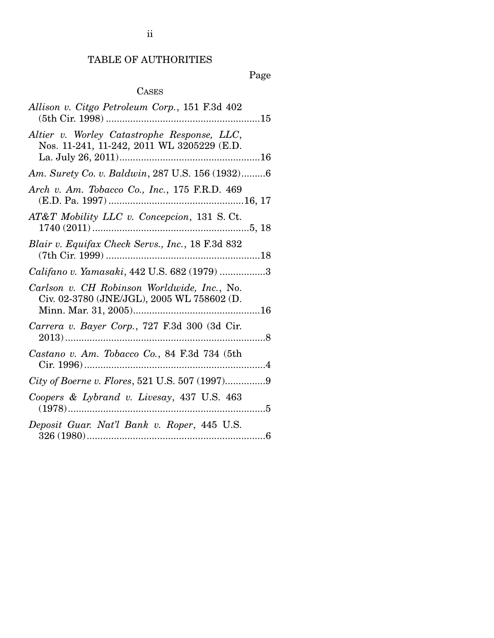# TABLE OF AUTHORITIES

Page

# CASES

| Allison v. Citgo Petroleum Corp., 151 F.3d 402                                            |
|-------------------------------------------------------------------------------------------|
| Altier v. Worley Catastrophe Response, LLC,<br>Nos. 11-241, 11-242, 2011 WL 3205229 (E.D. |
| Am. Surety Co. v. Baldwin, 287 U.S. 156 (1932)6                                           |
| Arch v. Am. Tobacco Co., Inc., 175 F.R.D. 469                                             |
| AT&T Mobility LLC v. Concepcion, 131 S.Ct.                                                |
| Blair v. Equifax Check Servs., Inc., 18 F.3d 832                                          |
| Califano v. Yamasaki, 442 U.S. 682 (1979) 3                                               |
| Carlson v. CH Robinson Worldwide, Inc., No.<br>Civ. 02-3780 (JNE/JGL), 2005 WL 758602 (D. |
| Carrera v. Bayer Corp., 727 F.3d 300 (3d Cir.                                             |
| Castano v. Am. Tobacco Co., 84 F.3d 734 (5th                                              |
| City of Boerne v. Flores, 521 U.S. 507 (1997)9                                            |
| Coopers & Lybrand v. Livesay, 437 U.S. 463                                                |
| Deposit Guar. Nat'l Bank v. Roper, 445 U.S.                                               |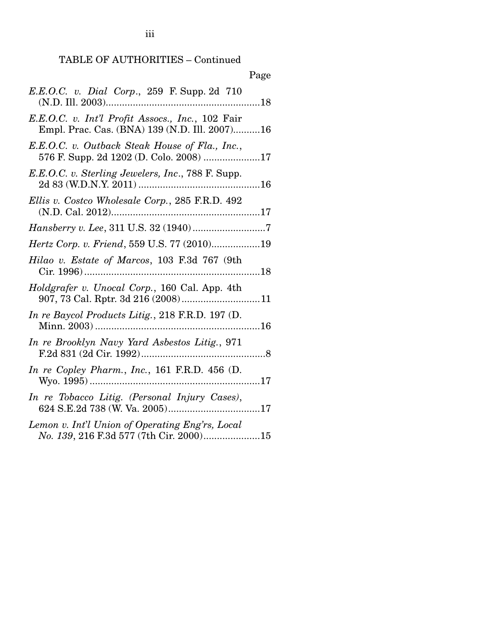|                                                                                                   | Page |
|---------------------------------------------------------------------------------------------------|------|
| E.E.O.C. v. Dial Corp., 259 F. Supp. 2d 710                                                       |      |
| E.E.O.C. v. Int'l Profit Assocs., Inc., 102 Fair<br>Empl. Prac. Cas. (BNA) 139 (N.D. Ill. 2007)16 |      |
| E.E.O.C. v. Outback Steak House of Fla., Inc.,<br>576 F. Supp. 2d 1202 (D. Colo. 2008) 17         |      |
| E.E.O.C. v. Sterling Jewelers, Inc., 788 F. Supp.                                                 |      |
| Ellis v. Costco Wholesale Corp., 285 F.R.D. 492                                                   |      |
|                                                                                                   |      |
| Hertz Corp. v. Friend, 559 U.S. 77 (2010)19                                                       |      |
| Hilao v. Estate of Marcos, 103 F.3d 767 (9th                                                      |      |
| Holdgrafer v. Unocal Corp., 160 Cal. App. 4th                                                     |      |
| In re Baycol Products Litig., 218 F.R.D. 197 (D.                                                  |      |
| In re Brooklyn Navy Yard Asbestos Litig., 971                                                     |      |
| In re Copley Pharm., Inc., 161 F.R.D. 456 $(D.$                                                   |      |
| In re Tobacco Litig. (Personal Injury Cases),                                                     |      |
| Lemon v. Int'l Union of Operating Eng'rs, Local<br>No. 139, 216 F.3d 577 (7th Cir. 2000)15        |      |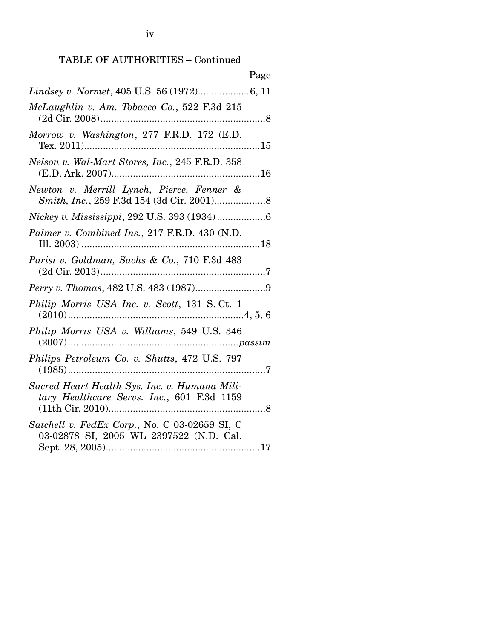| Page                                                                                        |
|---------------------------------------------------------------------------------------------|
| Lindsey v. Normet, 405 U.S. 56 (1972)6, 11                                                  |
| McLaughlin v. Am. Tobacco Co., 522 F.3d 215                                                 |
| Morrow v. Washington, 277 F.R.D. 172 (E.D.                                                  |
| Nelson v. Wal-Mart Stores, Inc., 245 F.R.D. 358                                             |
| Newton v. Merrill Lynch, Pierce, Fenner &                                                   |
| Nickey v. Mississippi, 292 U.S. 393 (1934)6                                                 |
| Palmer v. Combined Ins., 217 F.R.D. 430 (N.D.                                               |
| Parisi v. Goldman, Sachs & Co., 710 F.3d 483                                                |
|                                                                                             |
| Philip Morris USA Inc. v. Scott, 131 S.Ct. 1                                                |
| Philip Morris USA v. Williams, 549 U.S. 346                                                 |
| Philips Petroleum Co. v. Shutts, 472 U.S. 797                                               |
| Sacred Heart Health Sys. Inc. v. Humana Mili-<br>tary Healthcare Servs. Inc., 601 F.3d 1159 |
| Satchell v. FedEx Corp., No. C 03-02659 SI, C<br>03-02878 SI, 2005 WL 2397522 (N.D. Cal.    |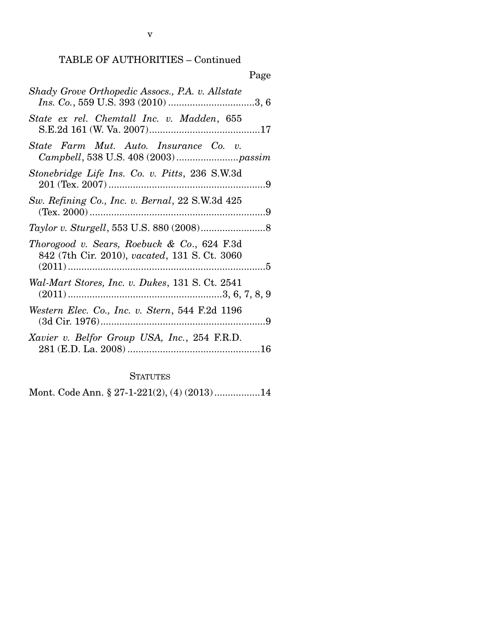|                                                                                              | Page |
|----------------------------------------------------------------------------------------------|------|
| Shady Grove Orthopedic Assocs., P.A. v. Allstate                                             |      |
| State ex rel. Chemtall Inc. v. Madden, 655                                                   |      |
| State Farm Mut. Auto. Insurance Co. v.                                                       |      |
| Stonebridge Life Ins. Co. v. Pitts, 236 S.W.3d                                               |      |
| Sw. Refining Co., Inc. v. Bernal, 22 S.W.3d 425                                              |      |
|                                                                                              |      |
| Thorogood v. Sears, Roebuck & Co., 624 F.3d<br>842 (7th Cir. 2010), vacated, 131 S. Ct. 3060 |      |
| Wal-Mart Stores, Inc. v. Dukes, 131 S. Ct. 2541                                              |      |
| Western Elec. Co., Inc. v. Stern, 544 F.2d 1196                                              |      |
| Xavier v. Belfor Group USA, Inc., 254 F.R.D.                                                 |      |

**STATUTES** 

Mont. Code Ann. § 27-1-221(2), (4) (2013) ................. 14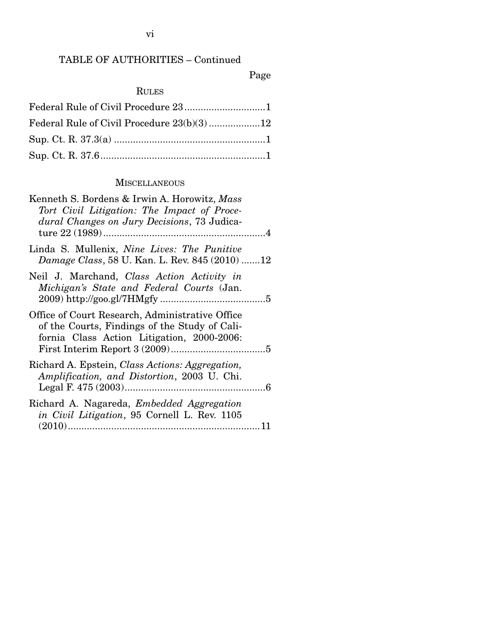# Page

# RULES

### **MISCELLANEOUS**

| Kenneth S. Bordens & Irwin A. Horowitz, Mass<br>Tort Civil Litigation: The Impact of Proce-<br>dural Changes on Jury Decisions, 73 Judica-     |
|------------------------------------------------------------------------------------------------------------------------------------------------|
| Linda S. Mullenix, <i>Nine Lives: The Punitive</i><br>Damage Class, 58 U. Kan. L. Rev. 845 (2010) 12                                           |
| Neil J. Marchand, Class Action Activity in<br>Michigan's State and Federal Courts (Jan.                                                        |
| Office of Court Research, Administrative Office<br>of the Courts, Findings of the Study of Cali-<br>fornia Class Action Litigation, 2000-2006: |
| Richard A. Epstein, Class Actions: Aggregation,<br>Amplification, and Distortion, 2003 U. Chi.                                                 |
| Richard A. Nagareda, <i>Embedded Aggregation</i><br>in Civil Litigation, 95 Cornell L. Rev. 1105                                               |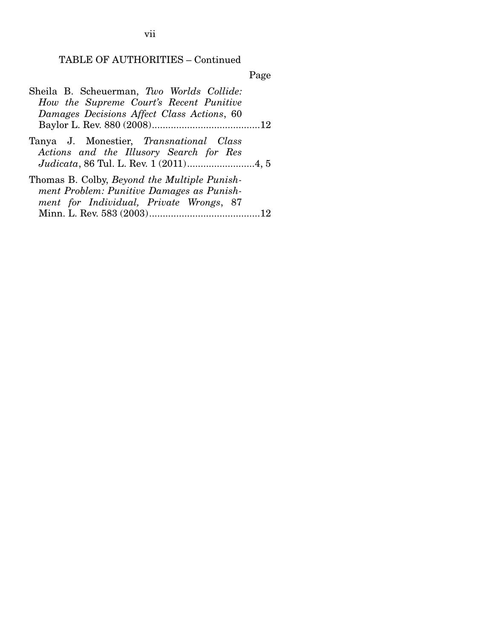Page

| Sheila B. Scheuerman, Two Worlds Collide:                                                                                            |
|--------------------------------------------------------------------------------------------------------------------------------------|
| How the Supreme Court's Recent Punitive                                                                                              |
| Damages Decisions Affect Class Actions, 60                                                                                           |
|                                                                                                                                      |
| Tanya J. Monestier, Transnational Class<br>Actions and the Illusory Search for Res                                                   |
| Thomas B. Colby, Beyond the Multiple Punish-<br>ment Problem: Punitive Damages as Punish-<br>ment for Individual, Private Wrongs, 87 |
|                                                                                                                                      |

vii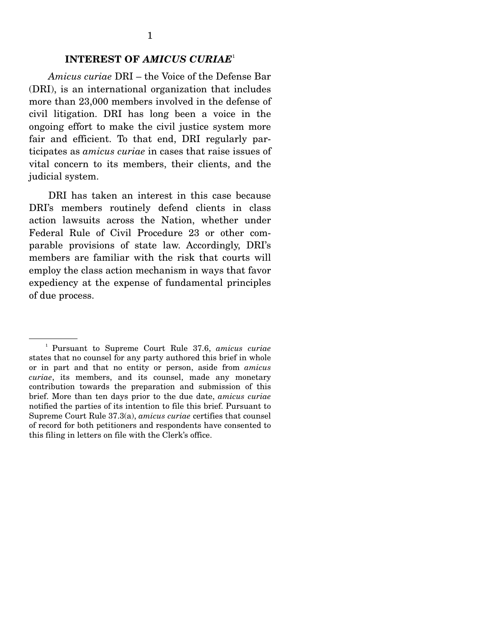### **INTEREST OF** *AMICUS CURIAE*<sup>1</sup>

*Amicus curiae* DRI – the Voice of the Defense Bar (DRI), is an international organization that includes more than 23,000 members involved in the defense of civil litigation. DRI has long been a voice in the ongoing effort to make the civil justice system more fair and efficient. To that end, DRI regularly participates as *amicus curiae* in cases that raise issues of vital concern to its members, their clients, and the judicial system.

 DRI has taken an interest in this case because DRI's members routinely defend clients in class action lawsuits across the Nation, whether under Federal Rule of Civil Procedure 23 or other comparable provisions of state law. Accordingly, DRI's members are familiar with the risk that courts will employ the class action mechanism in ways that favor expediency at the expense of fundamental principles of due process.

<sup>1</sup> Pursuant to Supreme Court Rule 37.6, *amicus curiae*  states that no counsel for any party authored this brief in whole or in part and that no entity or person, aside from *amicus curiae*, its members, and its counsel, made any monetary contribution towards the preparation and submission of this brief. More than ten days prior to the due date, *amicus curiae* notified the parties of its intention to file this brief. Pursuant to Supreme Court Rule 37.3(a), *amicus curiae* certifies that counsel of record for both petitioners and respondents have consented to this filing in letters on file with the Clerk's office.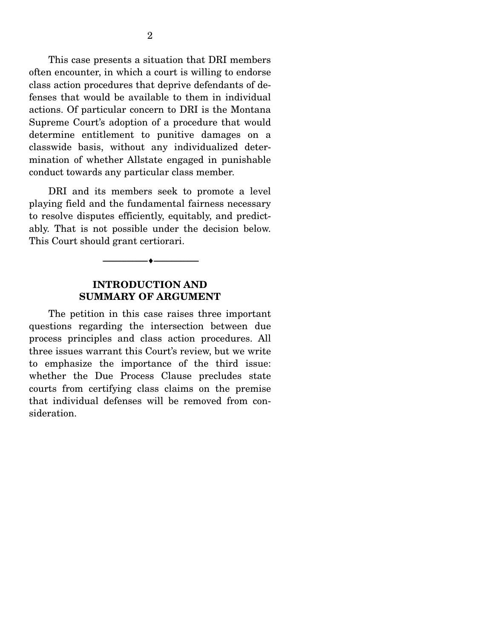This case presents a situation that DRI members often encounter, in which a court is willing to endorse class action procedures that deprive defendants of defenses that would be available to them in individual actions. Of particular concern to DRI is the Montana Supreme Court's adoption of a procedure that would determine entitlement to punitive damages on a classwide basis, without any individualized determination of whether Allstate engaged in punishable conduct towards any particular class member.

 DRI and its members seek to promote a level playing field and the fundamental fairness necessary to resolve disputes efficiently, equitably, and predictably. That is not possible under the decision below. This Court should grant certiorari.

### **INTRODUCTION AND SUMMARY OF ARGUMENT**

--------------------------------- ---------------------------------

 The petition in this case raises three important questions regarding the intersection between due process principles and class action procedures. All three issues warrant this Court's review, but we write to emphasize the importance of the third issue: whether the Due Process Clause precludes state courts from certifying class claims on the premise that individual defenses will be removed from consideration.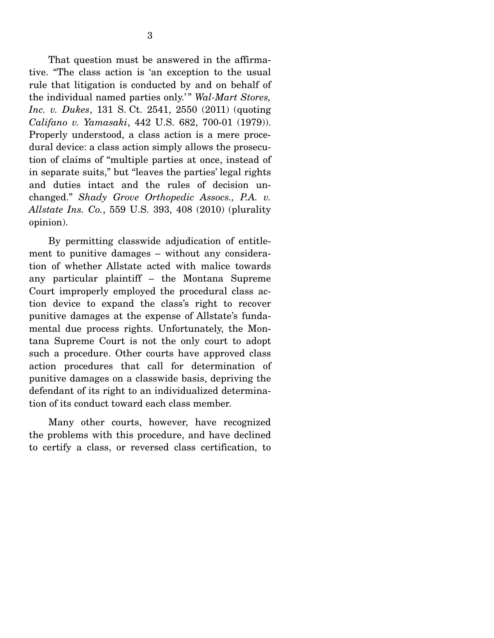That question must be answered in the affirmative. "The class action is 'an exception to the usual rule that litigation is conducted by and on behalf of the individual named parties only.' " *Wal-Mart Stores, Inc. v. Dukes*, 131 S. Ct. 2541, 2550 (2011) (quoting *Califano v. Yamasaki*, 442 U.S. 682, 700-01 (1979)). Properly understood, a class action is a mere procedural device: a class action simply allows the prosecution of claims of "multiple parties at once, instead of in separate suits," but "leaves the parties' legal rights and duties intact and the rules of decision unchanged." *Shady Grove Orthopedic Assocs., P.A. v. Allstate Ins. Co.*, 559 U.S. 393, 408 (2010) (plurality opinion).

 By permitting classwide adjudication of entitlement to punitive damages – without any consideration of whether Allstate acted with malice towards any particular plaintiff – the Montana Supreme Court improperly employed the procedural class action device to expand the class's right to recover punitive damages at the expense of Allstate's fundamental due process rights. Unfortunately, the Montana Supreme Court is not the only court to adopt such a procedure. Other courts have approved class action procedures that call for determination of punitive damages on a classwide basis, depriving the defendant of its right to an individualized determination of its conduct toward each class member.

 Many other courts, however, have recognized the problems with this procedure, and have declined to certify a class, or reversed class certification, to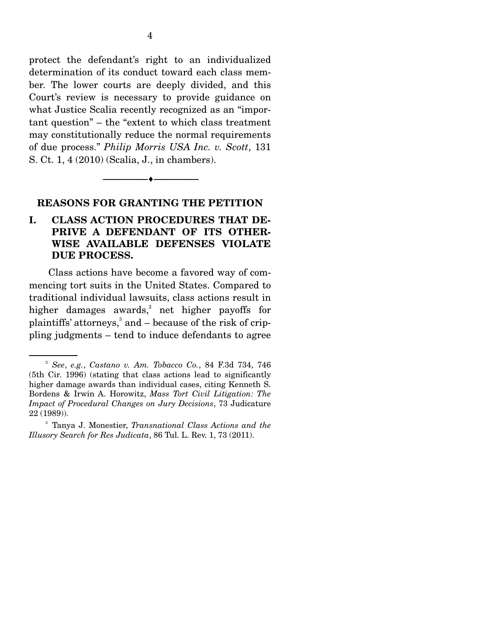protect the defendant's right to an individualized determination of its conduct toward each class member. The lower courts are deeply divided, and this Court's review is necessary to provide guidance on what Justice Scalia recently recognized as an "important question" – the "extent to which class treatment may constitutionally reduce the normal requirements of due process." *Philip Morris USA Inc. v. Scott*, 131 S. Ct. 1, 4 (2010) (Scalia, J., in chambers).

#### **REASONS FOR GRANTING THE PETITION**

--------------------------------- ---------------------------------

### **I. CLASS ACTION PROCEDURES THAT DE-PRIVE A DEFENDANT OF ITS OTHER-WISE AVAILABLE DEFENSES VIOLATE DUE PROCESS.**

 Class actions have become a favored way of commencing tort suits in the United States. Compared to traditional individual lawsuits, class actions result in higher damages awards,<sup>2</sup> net higher payoffs for plaintiffs' attorneys,<sup>3</sup> and – because of the risk of crippling judgments – tend to induce defendants to agree

<sup>2</sup> *See*, *e.g.*, *Castano v. Am. Tobacco Co.*, 84 F.3d 734, 746 (5th Cir. 1996) (stating that class actions lead to significantly higher damage awards than individual cases, citing Kenneth S. Bordens & Irwin A. Horowitz, *Mass Tort Civil Litigation: The Impact of Procedural Changes on Jury Decisions*, 73 Judicature 22 (1989)).

<sup>3</sup> Tanya J. Monestier, *Transnational Class Actions and the Illusory Search for Res Judicata*, 86 Tul. L. Rev. 1, 73 (2011).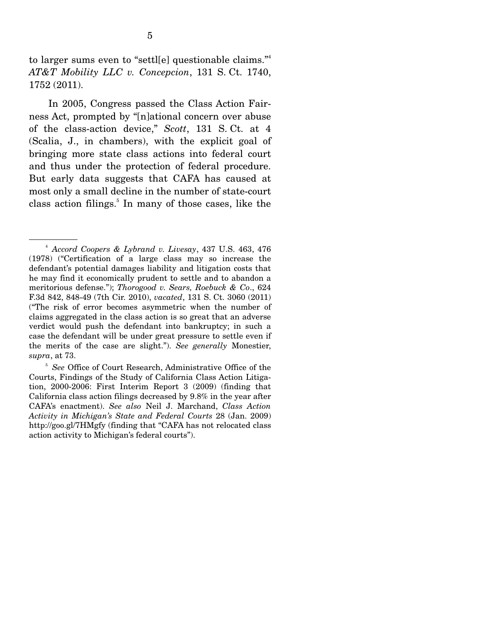to larger sums even to "settl[e] questionable claims."4 *AT&T Mobility LLC v. Concepcion*, 131 S. Ct. 1740, 1752 (2011).

 In 2005, Congress passed the Class Action Fairness Act, prompted by "[n]ational concern over abuse of the class-action device," *Scott*, 131 S. Ct. at 4 (Scalia, J., in chambers), with the explicit goal of bringing more state class actions into federal court and thus under the protection of federal procedure. But early data suggests that CAFA has caused at most only a small decline in the number of state-court class action filings.<sup>5</sup> In many of those cases, like the

<sup>4</sup> *Accord Coopers & Lybrand v. Livesay*, 437 U.S. 463, 476 (1978) ("Certification of a large class may so increase the defendant's potential damages liability and litigation costs that he may find it economically prudent to settle and to abandon a meritorious defense."); *Thorogood v. Sears, Roebuck & Co*., 624 F.3d 842, 848-49 (7th Cir. 2010), *vacated*, 131 S. Ct. 3060 (2011) ("The risk of error becomes asymmetric when the number of claims aggregated in the class action is so great that an adverse verdict would push the defendant into bankruptcy; in such a case the defendant will be under great pressure to settle even if the merits of the case are slight."). *See generally* Monestier, *supra*, at 73.

<sup>5</sup> *See* Office of Court Research, Administrative Office of the Courts, Findings of the Study of California Class Action Litigation, 2000-2006: First Interim Report 3 (2009) (finding that California class action filings decreased by 9.8% in the year after CAFA's enactment). *See also* Neil J. Marchand, *Class Action Activity in Michigan's State and Federal Courts* 28 (Jan. 2009) http://goo.gl/7HMgfy (finding that "CAFA has not relocated class action activity to Michigan's federal courts").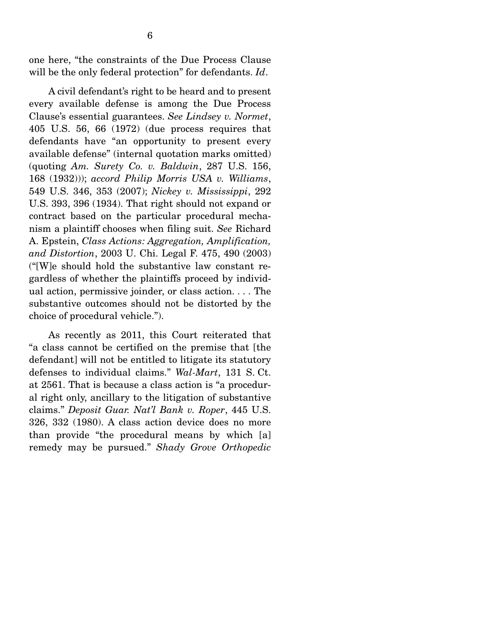one here, "the constraints of the Due Process Clause will be the only federal protection" for defendants. *Id*.

 A civil defendant's right to be heard and to present every available defense is among the Due Process Clause's essential guarantees. *See Lindsey v. Normet*, 405 U.S. 56, 66 (1972) (due process requires that defendants have "an opportunity to present every available defense" (internal quotation marks omitted) (quoting *Am. Surety Co. v. Baldwin*, 287 U.S. 156, 168 (1932))); *accord Philip Morris USA v. Williams*, 549 U.S. 346, 353 (2007); *Nickey v. Mississippi*, 292 U.S. 393, 396 (1934). That right should not expand or contract based on the particular procedural mechanism a plaintiff chooses when filing suit. *See* Richard A. Epstein, *Class Actions: Aggregation, Amplification, and Distortion*, 2003 U. Chi. Legal F. 475, 490 (2003) ("[W]e should hold the substantive law constant regardless of whether the plaintiffs proceed by individual action, permissive joinder, or class action. . . . The substantive outcomes should not be distorted by the choice of procedural vehicle.").

 As recently as 2011, this Court reiterated that "a class cannot be certified on the premise that [the defendant] will not be entitled to litigate its statutory defenses to individual claims." *Wal-Mart*, 131 S. Ct. at 2561. That is because a class action is "a procedural right only, ancillary to the litigation of substantive claims." *Deposit Guar. Nat'l Bank v. Roper*, 445 U.S. 326, 332 (1980). A class action device does no more than provide "the procedural means by which [a] remedy may be pursued." *Shady Grove Orthopedic*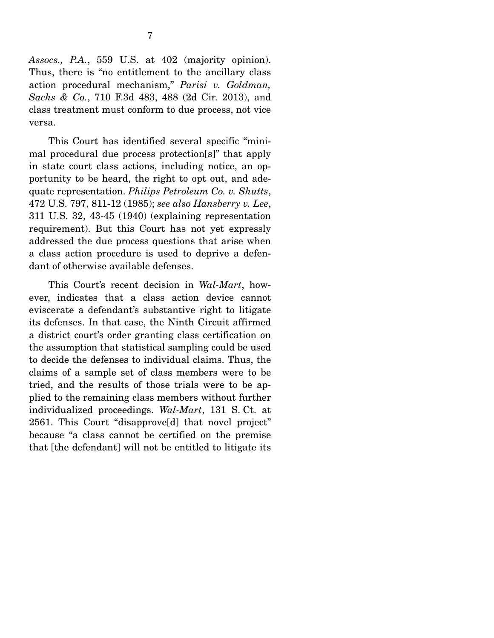*Assocs., P.A.*, 559 U.S. at 402 (majority opinion). Thus, there is "no entitlement to the ancillary class action procedural mechanism," *Parisi v. Goldman, Sachs & Co.*, 710 F.3d 483, 488 (2d Cir. 2013), and class treatment must conform to due process, not vice versa.

 This Court has identified several specific "minimal procedural due process protection[s]" that apply in state court class actions, including notice, an opportunity to be heard, the right to opt out, and adequate representation. *Philips Petroleum Co. v. Shutts*, 472 U.S. 797, 811-12 (1985); *see also Hansberry v. Lee*, 311 U.S. 32, 43-45 (1940) (explaining representation requirement). But this Court has not yet expressly addressed the due process questions that arise when a class action procedure is used to deprive a defendant of otherwise available defenses.

 This Court's recent decision in *Wal-Mart*, however, indicates that a class action device cannot eviscerate a defendant's substantive right to litigate its defenses. In that case, the Ninth Circuit affirmed a district court's order granting class certification on the assumption that statistical sampling could be used to decide the defenses to individual claims. Thus, the claims of a sample set of class members were to be tried, and the results of those trials were to be applied to the remaining class members without further individualized proceedings. *Wal-Mart*, 131 S. Ct. at 2561. This Court "disapprove[d] that novel project" because "a class cannot be certified on the premise that [the defendant] will not be entitled to litigate its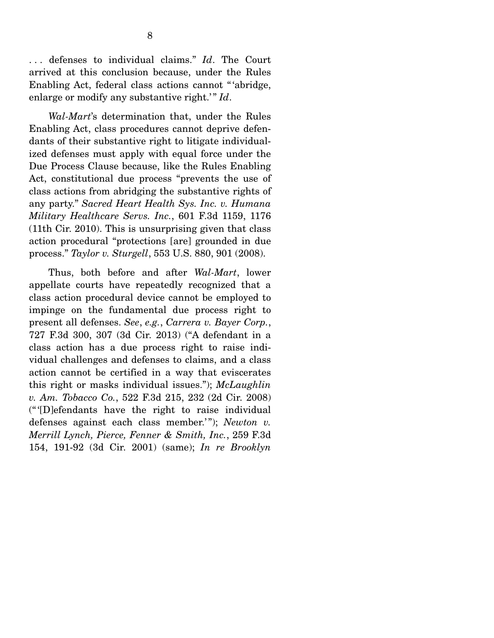. . . defenses to individual claims." *Id*. The Court arrived at this conclusion because, under the Rules Enabling Act, federal class actions cannot " 'abridge, enlarge or modify any substantive right.'" *Id*.

*Wal-Mart*'s determination that, under the Rules Enabling Act, class procedures cannot deprive defendants of their substantive right to litigate individualized defenses must apply with equal force under the Due Process Clause because, like the Rules Enabling Act, constitutional due process "prevents the use of class actions from abridging the substantive rights of any party." *Sacred Heart Health Sys. Inc. v. Humana Military Healthcare Servs. Inc.*, 601 F.3d 1159, 1176 (11th Cir. 2010). This is unsurprising given that class action procedural "protections [are] grounded in due process." *Taylor v. Sturgell*, 553 U.S. 880, 901 (2008).

 Thus, both before and after *Wal-Mart*, lower appellate courts have repeatedly recognized that a class action procedural device cannot be employed to impinge on the fundamental due process right to present all defenses. *See*, *e.g.*, *Carrera v. Bayer Corp.*, 727 F.3d 300, 307 (3d Cir. 2013) ("A defendant in a class action has a due process right to raise individual challenges and defenses to claims, and a class action cannot be certified in a way that eviscerates this right or masks individual issues."); *McLaughlin v. Am. Tobacco Co.*, 522 F.3d 215, 232 (2d Cir. 2008) (" '[D]efendants have the right to raise individual defenses against each class member.'"); *Newton v. Merrill Lynch, Pierce, Fenner & Smith, Inc.*, 259 F.3d 154, 191-92 (3d Cir. 2001) (same); *In re Brooklyn*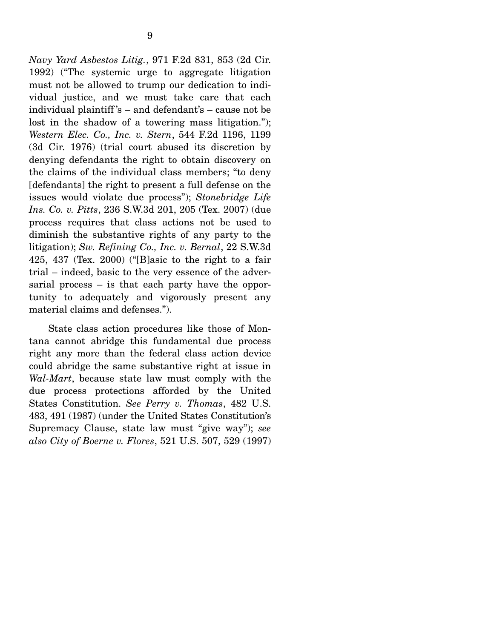*Navy Yard Asbestos Litig.*, 971 F.2d 831, 853 (2d Cir. 1992) ("The systemic urge to aggregate litigation must not be allowed to trump our dedication to individual justice, and we must take care that each individual plaintiff 's – and defendant's – cause not be lost in the shadow of a towering mass litigation."); *Western Elec. Co., Inc. v. Stern*, 544 F.2d 1196, 1199 (3d Cir. 1976) (trial court abused its discretion by denying defendants the right to obtain discovery on the claims of the individual class members; "to deny [defendants] the right to present a full defense on the issues would violate due process"); *Stonebridge Life Ins. Co. v. Pitts*, 236 S.W.3d 201, 205 (Tex. 2007) (due process requires that class actions not be used to diminish the substantive rights of any party to the litigation); *Sw. Refining Co., Inc. v. Bernal*, 22 S.W.3d 425, 437 (Tex. 2000) ("[B]asic to the right to a fair trial – indeed, basic to the very essence of the adversarial process – is that each party have the opportunity to adequately and vigorously present any material claims and defenses.").

 State class action procedures like those of Montana cannot abridge this fundamental due process right any more than the federal class action device could abridge the same substantive right at issue in *Wal-Mart*, because state law must comply with the due process protections afforded by the United States Constitution. *See Perry v. Thomas*, 482 U.S. 483, 491 (1987) (under the United States Constitution's Supremacy Clause, state law must "give way"); *see also City of Boerne v. Flores*, 521 U.S. 507, 529 (1997)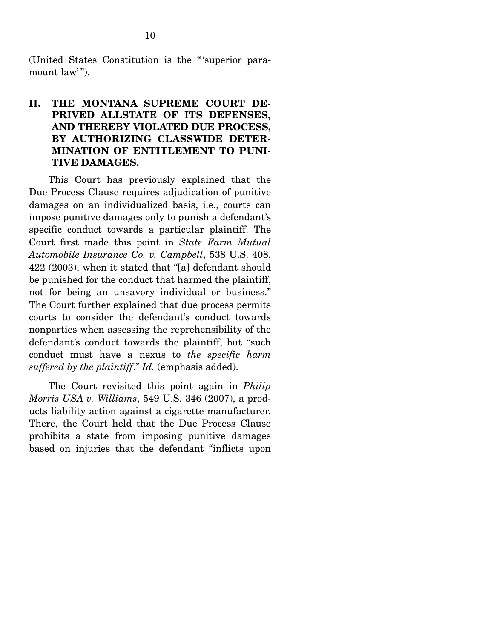(United States Constitution is the " 'superior paramount law".

### **II. THE MONTANA SUPREME COURT DE-PRIVED ALLSTATE OF ITS DEFENSES, AND THEREBY VIOLATED DUE PROCESS, BY AUTHORIZING CLASSWIDE DETER-MINATION OF ENTITLEMENT TO PUNI-TIVE DAMAGES.**

 This Court has previously explained that the Due Process Clause requires adjudication of punitive damages on an individualized basis, i.e., courts can impose punitive damages only to punish a defendant's specific conduct towards a particular plaintiff. The Court first made this point in *State Farm Mutual Automobile Insurance Co. v. Campbell*, 538 U.S. 408, 422 (2003), when it stated that "[a] defendant should be punished for the conduct that harmed the plaintiff, not for being an unsavory individual or business." The Court further explained that due process permits courts to consider the defendant's conduct towards nonparties when assessing the reprehensibility of the defendant's conduct towards the plaintiff, but "such conduct must have a nexus to *the specific harm suffered by the plaintiff*." *Id.* (emphasis added).

 The Court revisited this point again in *Philip Morris USA v. Williams*, 549 U.S. 346 (2007), a products liability action against a cigarette manufacturer. There, the Court held that the Due Process Clause prohibits a state from imposing punitive damages based on injuries that the defendant "inflicts upon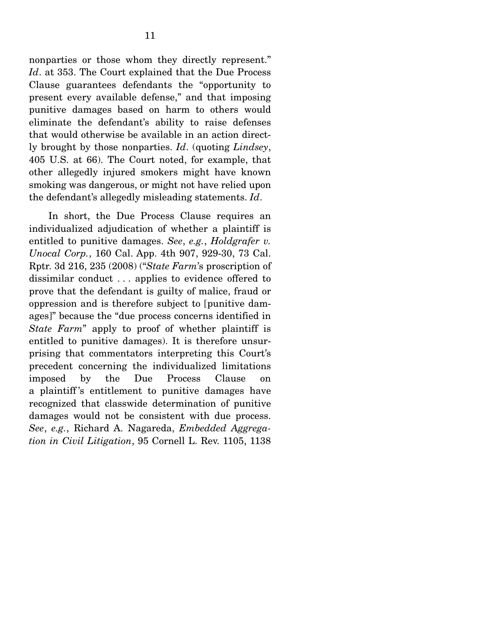nonparties or those whom they directly represent." *Id*. at 353. The Court explained that the Due Process Clause guarantees defendants the "opportunity to present every available defense," and that imposing punitive damages based on harm to others would eliminate the defendant's ability to raise defenses that would otherwise be available in an action directly brought by those nonparties. *Id*. (quoting *Lindsey*, 405 U.S. at 66). The Court noted, for example, that other allegedly injured smokers might have known smoking was dangerous, or might not have relied upon the defendant's allegedly misleading statements. *Id*.

 In short, the Due Process Clause requires an individualized adjudication of whether a plaintiff is entitled to punitive damages. *See*, *e.g.*, *Holdgrafer v. Unocal Corp.*, 160 Cal. App. 4th 907, 929-30, 73 Cal. Rptr. 3d 216, 235 (2008) ("*State Farm*'s proscription of dissimilar conduct . . . applies to evidence offered to prove that the defendant is guilty of malice, fraud or oppression and is therefore subject to [punitive damages]" because the "due process concerns identified in *State Farm*" apply to proof of whether plaintiff is entitled to punitive damages). It is therefore unsurprising that commentators interpreting this Court's precedent concerning the individualized limitations imposed by the Due Process Clause on a plaintiff 's entitlement to punitive damages have recognized that classwide determination of punitive damages would not be consistent with due process. *See*, *e.g.*, Richard A. Nagareda, *Embedded Aggregation in Civil Litigation*, 95 Cornell L. Rev. 1105, 1138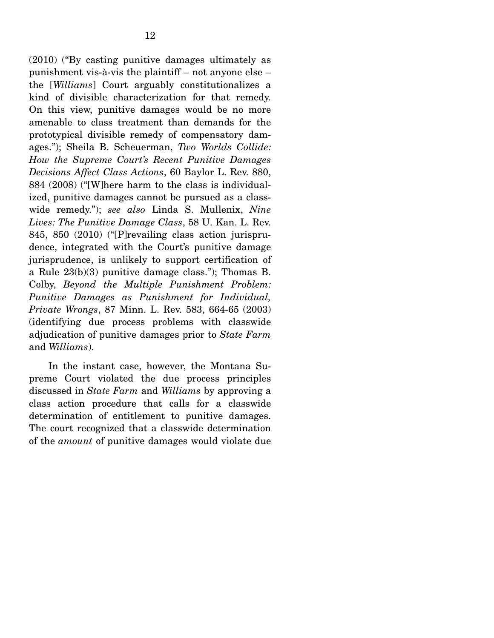(2010) ("By casting punitive damages ultimately as punishment vis-à-vis the plaintiff – not anyone else – the [*Williams*] Court arguably constitutionalizes a kind of divisible characterization for that remedy. On this view, punitive damages would be no more amenable to class treatment than demands for the prototypical divisible remedy of compensatory damages."); Sheila B. Scheuerman, *Two Worlds Collide: How the Supreme Court's Recent Punitive Damages Decisions Affect Class Actions*, 60 Baylor L. Rev. 880, 884 (2008) ("[W]here harm to the class is individualized, punitive damages cannot be pursued as a classwide remedy."); *see also* Linda S. Mullenix, *Nine Lives: The Punitive Damage Class*, 58 U. Kan. L. Rev. 845, 850 (2010) ("[P]revailing class action jurisprudence, integrated with the Court's punitive damage jurisprudence, is unlikely to support certification of a Rule 23(b)(3) punitive damage class."); Thomas B. Colby, *Beyond the Multiple Punishment Problem: Punitive Damages as Punishment for Individual, Private Wrongs*, 87 Minn. L. Rev. 583, 664-65 (2003) (identifying due process problems with classwide adjudication of punitive damages prior to *State Farm* and *Williams*).

 In the instant case, however, the Montana Supreme Court violated the due process principles discussed in *State Farm* and *Williams* by approving a class action procedure that calls for a classwide determination of entitlement to punitive damages. The court recognized that a classwide determination of the *amount* of punitive damages would violate due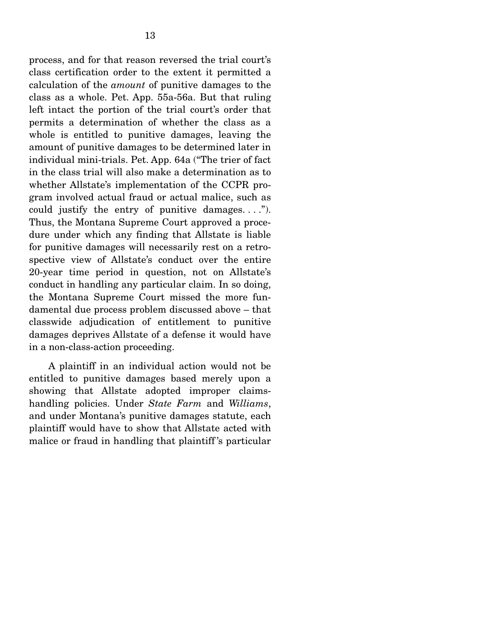process, and for that reason reversed the trial court's class certification order to the extent it permitted a calculation of the *amount* of punitive damages to the class as a whole. Pet. App. 55a-56a. But that ruling left intact the portion of the trial court's order that permits a determination of whether the class as a whole is entitled to punitive damages, leaving the amount of punitive damages to be determined later in individual mini-trials. Pet. App. 64a ("The trier of fact in the class trial will also make a determination as to whether Allstate's implementation of the CCPR program involved actual fraud or actual malice, such as could justify the entry of punitive damages....". Thus, the Montana Supreme Court approved a procedure under which any finding that Allstate is liable for punitive damages will necessarily rest on a retrospective view of Allstate's conduct over the entire 20-year time period in question, not on Allstate's conduct in handling any particular claim. In so doing, the Montana Supreme Court missed the more fundamental due process problem discussed above – that classwide adjudication of entitlement to punitive damages deprives Allstate of a defense it would have in a non-class-action proceeding.

 A plaintiff in an individual action would not be entitled to punitive damages based merely upon a showing that Allstate adopted improper claimshandling policies. Under *State Farm* and *Williams*, and under Montana's punitive damages statute, each plaintiff would have to show that Allstate acted with malice or fraud in handling that plaintiff 's particular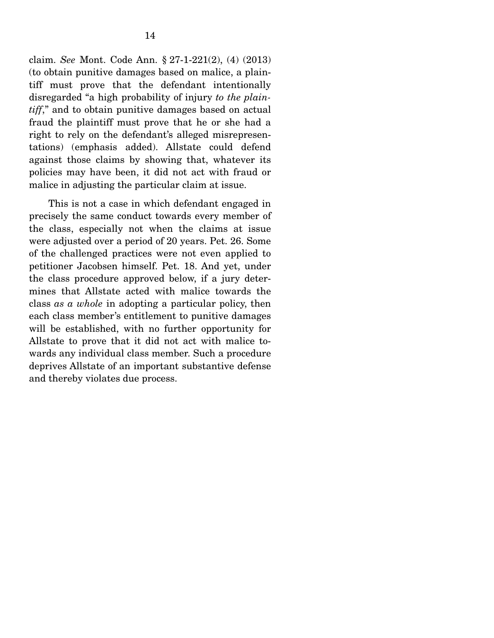claim. *See* Mont. Code Ann. § 27-1-221(2), (4) (2013) (to obtain punitive damages based on malice, a plaintiff must prove that the defendant intentionally disregarded "a high probability of injury *to the plaintiff*," and to obtain punitive damages based on actual fraud the plaintiff must prove that he or she had a right to rely on the defendant's alleged misrepresentations) (emphasis added). Allstate could defend against those claims by showing that, whatever its policies may have been, it did not act with fraud or malice in adjusting the particular claim at issue.

 This is not a case in which defendant engaged in precisely the same conduct towards every member of the class, especially not when the claims at issue were adjusted over a period of 20 years. Pet. 26. Some of the challenged practices were not even applied to petitioner Jacobsen himself. Pet. 18. And yet, under the class procedure approved below, if a jury determines that Allstate acted with malice towards the class *as a whole* in adopting a particular policy, then each class member's entitlement to punitive damages will be established, with no further opportunity for Allstate to prove that it did not act with malice towards any individual class member. Such a procedure deprives Allstate of an important substantive defense and thereby violates due process.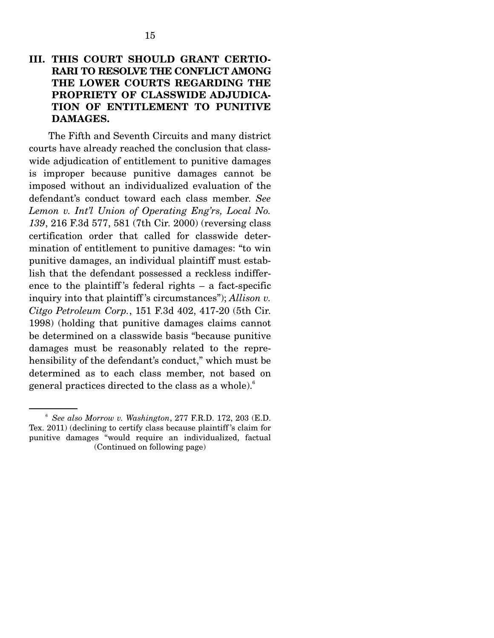### **III. THIS COURT SHOULD GRANT CERTIO-RARI TO RESOLVE THE CONFLICT AMONG THE LOWER COURTS REGARDING THE PROPRIETY OF CLASSWIDE ADJUDICA-TION OF ENTITLEMENT TO PUNITIVE DAMAGES.**

 The Fifth and Seventh Circuits and many district courts have already reached the conclusion that classwide adjudication of entitlement to punitive damages is improper because punitive damages cannot be imposed without an individualized evaluation of the defendant's conduct toward each class member. *See Lemon v. Int'l Union of Operating Eng'rs, Local No. 139*, 216 F.3d 577, 581 (7th Cir. 2000) (reversing class certification order that called for classwide determination of entitlement to punitive damages: "to win punitive damages, an individual plaintiff must establish that the defendant possessed a reckless indifference to the plaintiff 's federal rights – a fact-specific inquiry into that plaintiff 's circumstances"); *Allison v. Citgo Petroleum Corp.*, 151 F.3d 402, 417-20 (5th Cir. 1998) (holding that punitive damages claims cannot be determined on a classwide basis "because punitive damages must be reasonably related to the reprehensibility of the defendant's conduct," which must be determined as to each class member, not based on general practices directed to the class as a whole).<sup>6</sup>

<sup>6</sup> *See also Morrow v. Washington*, 277 F.R.D. 172, 203 (E.D. Tex. 2011) (declining to certify class because plaintiff 's claim for punitive damages "would require an individualized, factual (Continued on following page)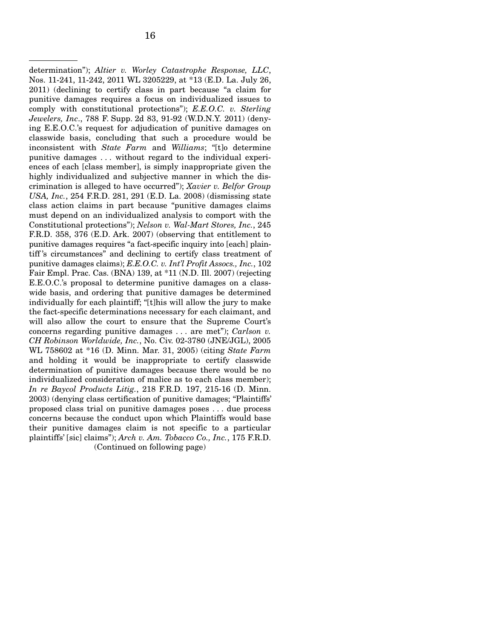determination"); *Altier v. Worley Catastrophe Response, LLC*, Nos. 11-241, 11-242, 2011 WL 3205229, at \*13 (E.D. La. July 26, 2011) (declining to certify class in part because "a claim for punitive damages requires a focus on individualized issues to comply with constitutional protections"); *E.E.O.C. v. Sterling Jewelers, Inc*., 788 F. Supp. 2d 83, 91-92 (W.D.N.Y. 2011) (denying E.E.O.C.'s request for adjudication of punitive damages on classwide basis, concluding that such a procedure would be inconsistent with *State Farm* and *Williams*; "[t]o determine punitive damages . . . without regard to the individual experiences of each [class member], is simply inappropriate given the highly individualized and subjective manner in which the discrimination is alleged to have occurred"); *Xavier v. Belfor Group USA, Inc.*, 254 F.R.D. 281, 291 (E.D. La. 2008) (dismissing state class action claims in part because "punitive damages claims must depend on an individualized analysis to comport with the Constitutional protections"); *Nelson v. Wal-Mart Stores, Inc.*, 245 F.R.D. 358, 376 (E.D. Ark. 2007) (observing that entitlement to punitive damages requires "a fact-specific inquiry into [each] plaintiff 's circumstances" and declining to certify class treatment of punitive damages claims); *E.E.O.C. v. Int'l Profit Assocs., Inc.*, 102 Fair Empl. Prac. Cas. (BNA) 139, at \*11 (N.D. Ill. 2007) (rejecting E.E.O.C.'s proposal to determine punitive damages on a classwide basis, and ordering that punitive damages be determined individually for each plaintiff; "[t]his will allow the jury to make the fact-specific determinations necessary for each claimant, and will also allow the court to ensure that the Supreme Court's concerns regarding punitive damages . . . are met"); *Carlson v. CH Robinson Worldwide, Inc.*, No. Civ. 02-3780 (JNE/JGL), 2005 WL 758602 at \*16 (D. Minn. Mar. 31, 2005) (citing *State Farm* and holding it would be inappropriate to certify classwide determination of punitive damages because there would be no individualized consideration of malice as to each class member); *In re Baycol Products Litig.*, 218 F.R.D. 197, 215-16 (D. Minn. 2003) (denying class certification of punitive damages; "Plaintiffs' proposed class trial on punitive damages poses . . . due process concerns because the conduct upon which Plaintiffs would base their punitive damages claim is not specific to a particular plaintiffs' [sic] claims"); *Arch v. Am. Tobacco Co., Inc.*, 175 F.R.D. (Continued on following page)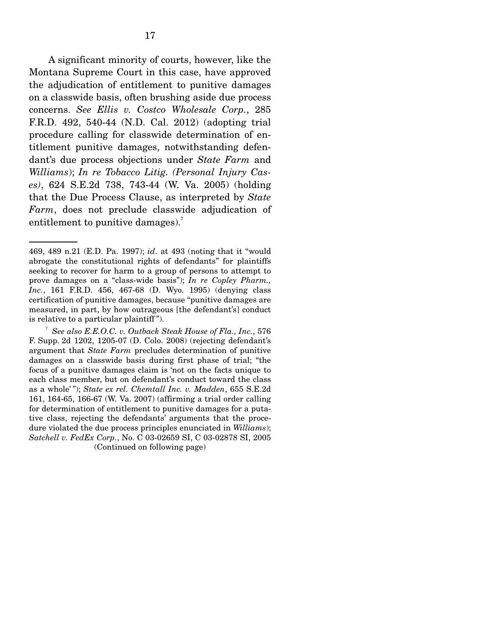A significant minority of courts, however, like the Montana Supreme Court in this case, have approved the adjudication of entitlement to punitive damages on a classwide basis, often brushing aside due process concerns. *See Ellis v. Costco Wholesale Corp.*, 285 F.R.D. 492, 540-44 (N.D. Cal. 2012) (adopting trial procedure calling for classwide determination of entitlement punitive damages, notwithstanding defendant's due process objections under *State Farm* and *Williams*); *In re Tobacco Litig. (Personal Injury Cases)*, 624 S.E.2d 738, 743-44 (W. Va. 2005) (holding that the Due Process Clause, as interpreted by *State Farm*, does not preclude classwide adjudication of entitlement to punitive damages).<sup>7</sup>

<sup>469, 489</sup> n.21 (E.D. Pa. 1997); *id*. at 493 (noting that it "would abrogate the constitutional rights of defendants" for plaintiffs seeking to recover for harm to a group of persons to attempt to prove damages on a "class-wide basis"); *In re Copley Pharm., Inc.*, 161 F.R.D. 456, 467-68 (D. Wyo. 1995) (denying class certification of punitive damages, because "punitive damages are measured, in part, by how outrageous [the defendant's] conduct is relative to a particular plaintiff ").

<sup>7</sup> *See also E.E.O.C. v. Outback Steak House of Fla., Inc.*, 576 F. Supp. 2d 1202, 1205-07 (D. Colo. 2008) (rejecting defendant's argument that *State Farm* precludes determination of punitive damages on a classwide basis during first phase of trial; "the focus of a punitive damages claim is 'not on the facts unique to each class member, but on defendant's conduct toward the class as a whole' "); *State ex rel. Chemtall Inc. v. Madden*, 655 S.E.2d 161, 164-65, 166-67 (W. Va. 2007) (affirming a trial order calling for determination of entitlement to punitive damages for a putative class, rejecting the defendants' arguments that the procedure violated the due process principles enunciated in *Williams*); *Satchell v. FedEx Corp.*, No. C 03-02659 SI, C 03-02878 SI, 2005 (Continued on following page)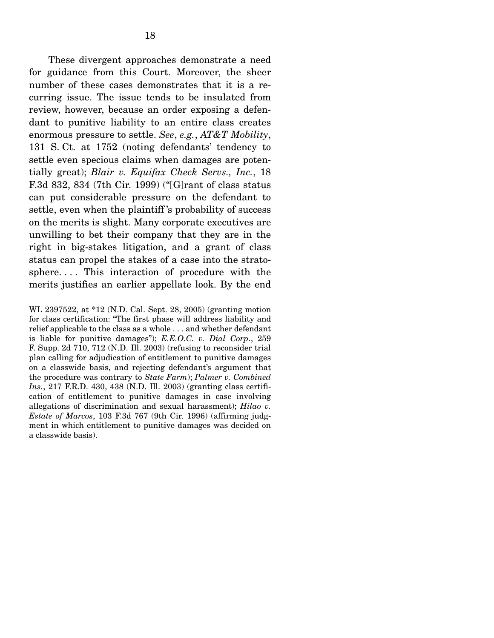These divergent approaches demonstrate a need for guidance from this Court. Moreover, the sheer number of these cases demonstrates that it is a recurring issue. The issue tends to be insulated from review, however, because an order exposing a defendant to punitive liability to an entire class creates enormous pressure to settle. *See*, *e.g.*, *AT&T Mobility*, 131 S. Ct. at 1752 (noting defendants' tendency to settle even specious claims when damages are potentially great); *Blair v. Equifax Check Servs., Inc.*, 18 F.3d 832, 834 (7th Cir. 1999) ("[G]rant of class status can put considerable pressure on the defendant to settle, even when the plaintiff 's probability of success on the merits is slight. Many corporate executives are unwilling to bet their company that they are in the right in big-stakes litigation, and a grant of class status can propel the stakes of a case into the stratosphere.... This interaction of procedure with the merits justifies an earlier appellate look. By the end

WL 2397522, at \*12 (N.D. Cal. Sept. 28, 2005) (granting motion for class certification: "The first phase will address liability and relief applicable to the class as a whole . . . and whether defendant is liable for punitive damages"); *E.E.O.C. v. Dial Corp*., 259 F. Supp. 2d 710, 712 (N.D. Ill. 2003) (refusing to reconsider trial plan calling for adjudication of entitlement to punitive damages on a classwide basis, and rejecting defendant's argument that the procedure was contrary to *State Farm*); *Palmer v. Combined Ins.*, 217 F.R.D. 430, 438 (N.D. Ill. 2003) (granting class certification of entitlement to punitive damages in case involving allegations of discrimination and sexual harassment); *Hilao v. Estate of Marcos*, 103 F.3d 767 (9th Cir. 1996) (affirming judgment in which entitlement to punitive damages was decided on a classwide basis).